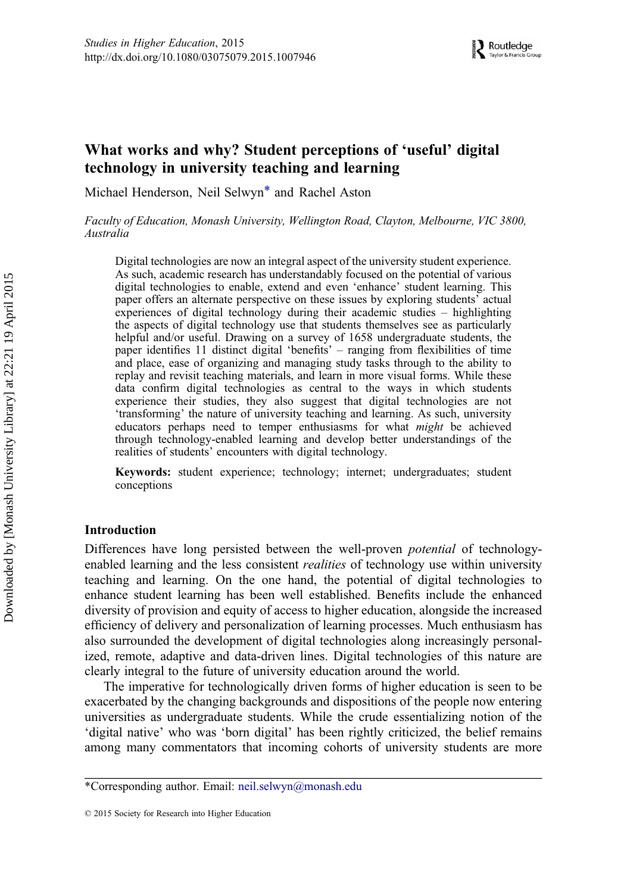# What works and why? Student perceptions of 'useful' digital technology in university teaching and learning

Michael Henderson, Neil Selwyn\* and Rachel Aston

Faculty of Education, Monash University, Wellington Road, Clayton, Melbourne, VIC 3800, Australia

Digital technologies are now an integral aspect of the university student experience. As such, academic research has understandably focused on the potential of various digital technologies to enable, extend and even 'enhance' student learning. This paper offers an alternate perspective on these issues by exploring students' actual experiences of digital technology during their academic studies – highlighting the aspects of digital technology use that students themselves see as particularly helpful and/or useful. Drawing on a survey of 1658 undergraduate students, the paper identifies 11 distinct digital 'benefits' – ranging from flexibilities of time and place, ease of organizing and managing study tasks through to the ability to replay and revisit teaching materials, and learn in more visual forms. While these data confirm digital technologies as central to the ways in which students experience their studies, they also suggest that digital technologies are not 'transforming' the nature of university teaching and learning. As such, university educators perhaps need to temper enthusiasms for what *might* be achieved through technology-enabled learning and develop better understandings of the realities of students' encounters with digital technology.

Keywords: student experience; technology; internet; undergraduates; student conceptions

# Introduction

Differences have long persisted between the well-proven potential of technologyenabled learning and the less consistent *realities* of technology use within university teaching and learning. On the one hand, the potential of digital technologies to enhance student learning has been well established. Benefits include the enhanced diversity of provision and equity of access to higher education, alongside the increased efficiency of delivery and personalization of learning processes. Much enthusiasm has also surrounded the development of digital technologies along increasingly personalized, remote, adaptive and data-driven lines. Digital technologies of this nature are clearly integral to the future of university education around the world.

The imperative for technologically driven forms of higher education is seen to be exacerbated by the changing backgrounds and dispositions of the people now entering universities as undergraduate students. While the crude essentializing notion of the 'digital native' who was 'born digital' has been rightly criticized, the belief remains among many commentators that incoming cohorts of university students are more

<sup>\*</sup>Corresponding author. Email: [neil.selwyn@monash.edu](mailto:neil.selwyn@monash.edu)

<sup>© 2015</sup> Society for Research into Higher Education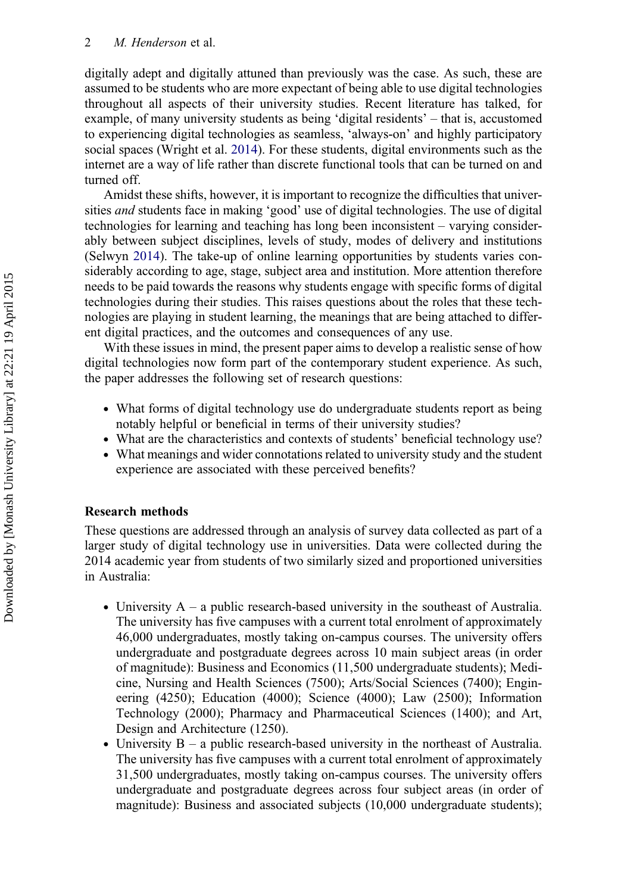digitally adept and digitally attuned than previously was the case. As such, these are assumed to be students who are more expectant of being able to use digital technologies throughout all aspects of their university studies. Recent literature has talked, for example, of many university students as being 'digital residents' – that is, accustomed to experiencing digital technologies as seamless, 'always-on' and highly participatory social spaces (Wright et al. [2014\)](#page-12-0). For these students, digital environments such as the internet are a way of life rather than discrete functional tools that can be turned on and turned off.

Amidst these shifts, however, it is important to recognize the difficulties that universities and students face in making 'good' use of digital technologies. The use of digital technologies for learning and teaching has long been inconsistent – varying considerably between subject disciplines, levels of study, modes of delivery and institutions (Selwyn [2014\)](#page-12-0). The take-up of online learning opportunities by students varies considerably according to age, stage, subject area and institution. More attention therefore needs to be paid towards the reasons why students engage with specific forms of digital technologies during their studies. This raises questions about the roles that these technologies are playing in student learning, the meanings that are being attached to different digital practices, and the outcomes and consequences of any use.

With these issues in mind, the present paper aims to develop a realistic sense of how digital technologies now form part of the contemporary student experience. As such, the paper addresses the following set of research questions:

- . What forms of digital technology use do undergraduate students report as being notably helpful or beneficial in terms of their university studies?
- . What are the characteristics and contexts of students' beneficial technology use?
- . What meanings and wider connotations related to university study and the student experience are associated with these perceived benefits?

# Research methods

These questions are addressed through an analysis of survey data collected as part of a larger study of digital technology use in universities. Data were collected during the 2014 academic year from students of two similarly sized and proportioned universities in Australia:

- University  $A a$  public research-based university in the southeast of Australia. The university has five campuses with a current total enrolment of approximately 46,000 undergraduates, mostly taking on-campus courses. The university offers undergraduate and postgraduate degrees across 10 main subject areas (in order of magnitude): Business and Economics (11,500 undergraduate students); Medicine, Nursing and Health Sciences (7500); Arts/Social Sciences (7400); Engineering (4250); Education (4000); Science (4000); Law (2500); Information Technology (2000); Pharmacy and Pharmaceutical Sciences (1400); and Art, Design and Architecture (1250).
- University  $B a$  public research-based university in the northeast of Australia. The university has five campuses with a current total enrolment of approximately 31,500 undergraduates, mostly taking on-campus courses. The university offers undergraduate and postgraduate degrees across four subject areas (in order of magnitude): Business and associated subjects (10,000 undergraduate students);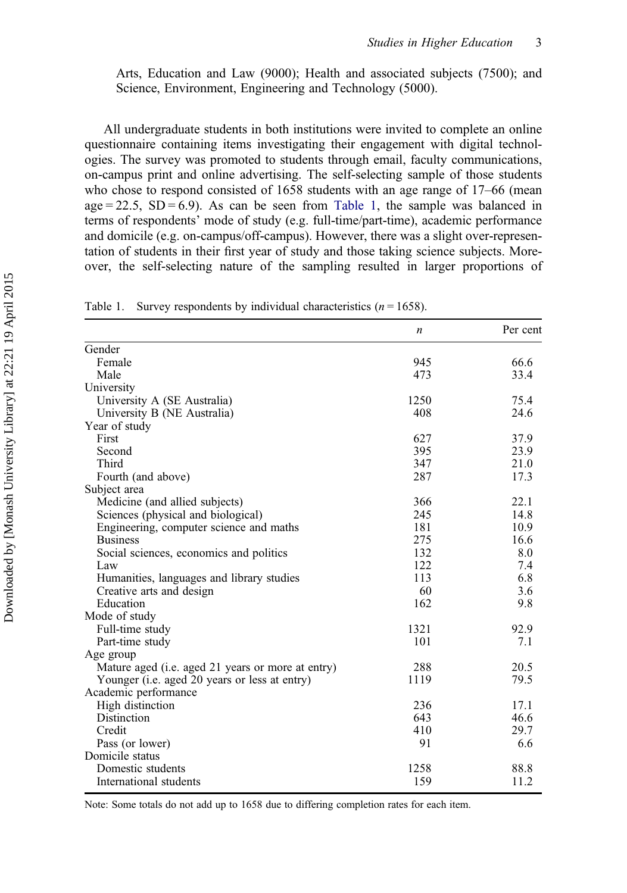Arts, Education and Law (9000); Health and associated subjects (7500); and Science, Environment, Engineering and Technology (5000).

All undergraduate students in both institutions were invited to complete an online questionnaire containing items investigating their engagement with digital technologies. The survey was promoted to students through email, faculty communications, on-campus print and online advertising. The self-selecting sample of those students who chose to respond consisted of 1658 students with an age range of 17–66 (mean age = 22.5,  $SD = 6.9$ ). As can be seen from Table 1, the sample was balanced in terms of respondents' mode of study (e.g. full-time/part-time), academic performance and domicile (e.g. on-campus/off-campus). However, there was a slight over-representation of students in their first year of study and those taking science subjects. Moreover, the self-selecting nature of the sampling resulted in larger proportions of

| Table 1. Survey respondents by individual characteristics ( $n = 1658$ ). |
|---------------------------------------------------------------------------|
|                                                                           |

|                                                   | n    | Per cent |
|---------------------------------------------------|------|----------|
| Gender                                            |      |          |
| Female                                            | 945  | 66.6     |
| Male                                              | 473  | 33.4     |
| University                                        |      |          |
| University A (SE Australia)                       | 1250 | 75.4     |
| University B (NE Australia)                       | 408  | 24.6     |
| Year of study                                     |      |          |
| First                                             | 627  | 37.9     |
| Second                                            | 395  | 23.9     |
| Third                                             | 347  | 21.0     |
| Fourth (and above)                                | 287  | 17.3     |
| Subject area                                      |      |          |
| Medicine (and allied subjects)                    | 366  | 22.1     |
| Sciences (physical and biological)                | 245  | 14.8     |
| Engineering, computer science and maths           | 181  | 10.9     |
| <b>Business</b>                                   | 275  | 16.6     |
| Social sciences, economics and politics           | 132  | 8.0      |
| Law                                               | 122  | 7.4      |
| Humanities, languages and library studies         | 113  | 6.8      |
| Creative arts and design                          | 60   | 3.6      |
| Education                                         | 162  | 9.8      |
| Mode of study                                     |      |          |
| Full-time study                                   | 1321 | 92.9     |
| Part-time study                                   | 101  | 7.1      |
| Age group                                         |      |          |
| Mature aged (i.e. aged 21 years or more at entry) | 288  | 20.5     |
| Younger (i.e. aged 20 years or less at entry)     | 1119 | 79.5     |
| Academic performance                              |      |          |
| High distinction                                  | 236  | 17.1     |
| Distinction                                       | 643  | 46.6     |
| Credit                                            | 410  | 29.7     |
| Pass (or lower)                                   | 91   | 6.6      |
| Domicile status                                   |      |          |
| Domestic students                                 | 1258 | 88.8     |
| International students                            | 159  | 11.2     |

Note: Some totals do not add up to 1658 due to differing completion rates for each item.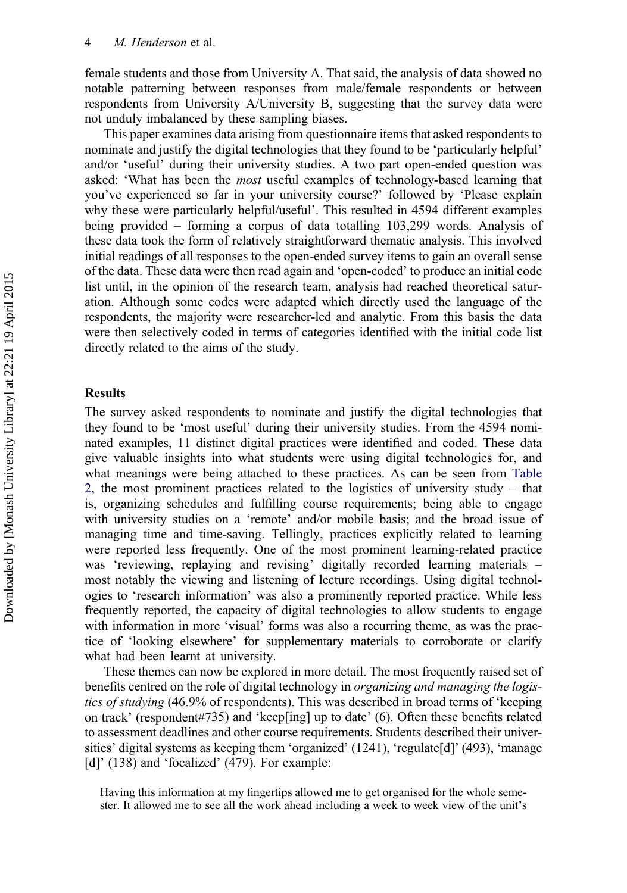female students and those from University A. That said, the analysis of data showed no notable patterning between responses from male/female respondents or between respondents from University A/University B, suggesting that the survey data were not unduly imbalanced by these sampling biases.

This paper examines data arising from questionnaire items that asked respondents to nominate and justify the digital technologies that they found to be 'particularly helpful' and/or 'useful' during their university studies. A two part open-ended question was asked: 'What has been the most useful examples of technology-based learning that you've experienced so far in your university course?' followed by 'Please explain why these were particularly helpful/useful'. This resulted in 4594 different examples being provided – forming a corpus of data totalling 103,299 words. Analysis of these data took the form of relatively straightforward thematic analysis. This involved initial readings of all responses to the open-ended survey items to gain an overall sense of the data. These data were then read again and 'open-coded' to produce an initial code list until, in the opinion of the research team, analysis had reached theoretical saturation. Although some codes were adapted which directly used the language of the respondents, the majority were researcher-led and analytic. From this basis the data were then selectively coded in terms of categories identified with the initial code list directly related to the aims of the study.

### Results

The survey asked respondents to nominate and justify the digital technologies that they found to be 'most useful' during their university studies. From the 4594 nominated examples, 11 distinct digital practices were identified and coded. These data give valuable insights into what students were using digital technologies for, and what meanings were being attached to these practices. As can be seen from [Table](#page-4-0) [2,](#page-4-0) the most prominent practices related to the logistics of university study – that is, organizing schedules and fulfilling course requirements; being able to engage with university studies on a 'remote' and/or mobile basis; and the broad issue of managing time and time-saving. Tellingly, practices explicitly related to learning were reported less frequently. One of the most prominent learning-related practice was 'reviewing, replaying and revising' digitally recorded learning materials – most notably the viewing and listening of lecture recordings. Using digital technologies to 'research information' was also a prominently reported practice. While less frequently reported, the capacity of digital technologies to allow students to engage with information in more 'visual' forms was also a recurring theme, as was the practice of 'looking elsewhere' for supplementary materials to corroborate or clarify what had been learnt at university.

These themes can now be explored in more detail. The most frequently raised set of benefits centred on the role of digital technology in organizing and managing the logistics of studying (46.9% of respondents). This was described in broad terms of 'keeping on track' (respondent#735) and 'keep[ing] up to date' (6). Often these benefits related to assessment deadlines and other course requirements. Students described their universities' digital systems as keeping them 'organized' (1241), 'regulate[d]' (493), 'manage [d]' (138) and 'focalized' (479). For example:

Having this information at my fingertips allowed me to get organised for the whole semester. It allowed me to see all the work ahead including a week to week view of the unit's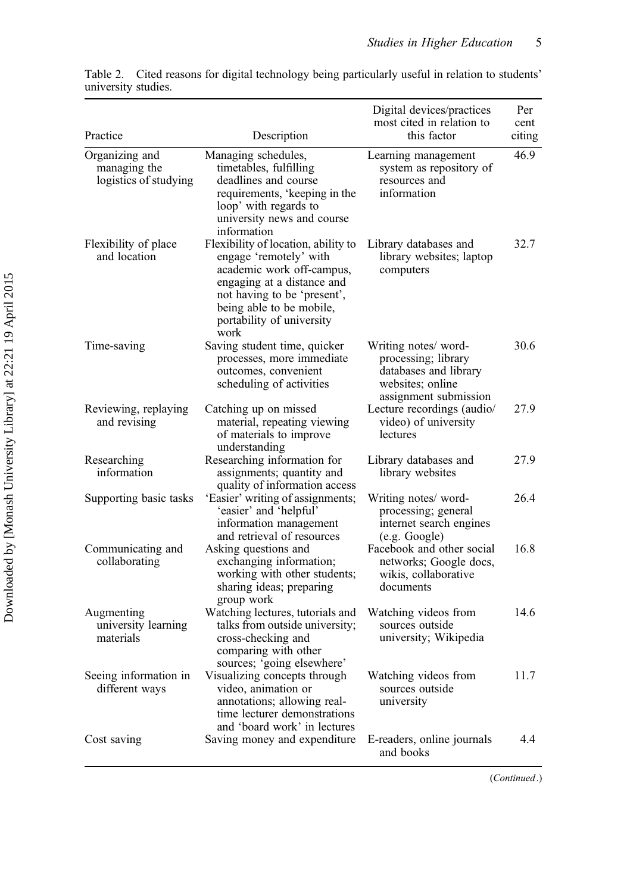| Practice                                                | Description                                                                                                                                                                                                              | Digital devices/practices<br>most cited in relation to<br>this factor                                            | Per<br>cent<br>citing |
|---------------------------------------------------------|--------------------------------------------------------------------------------------------------------------------------------------------------------------------------------------------------------------------------|------------------------------------------------------------------------------------------------------------------|-----------------------|
| Organizing and<br>managing the<br>logistics of studying | Managing schedules,<br>timetables, fulfilling<br>deadlines and course<br>requirements, 'keeping in the<br>loop' with regards to<br>university news and course<br>information                                             | Learning management<br>system as repository of<br>resources and<br>information                                   | 46.9                  |
| Flexibility of place<br>and location                    | Flexibility of location, ability to<br>engage 'remotely' with<br>academic work off-campus,<br>engaging at a distance and<br>not having to be 'present',<br>being able to be mobile,<br>portability of university<br>work | Library databases and<br>library websites; laptop<br>computers                                                   | 32.7                  |
| Time-saving                                             | Saving student time, quicker<br>processes, more immediate<br>outcomes, convenient<br>scheduling of activities                                                                                                            | Writing notes/word-<br>processing; library<br>databases and library<br>websites; online<br>assignment submission | 30.6                  |
| Reviewing, replaying<br>and revising                    | Catching up on missed<br>material, repeating viewing<br>of materials to improve<br>understanding                                                                                                                         | Lecture recordings (audio/<br>video) of university<br>lectures                                                   | 27.9                  |
| Researching<br>information                              | Researching information for<br>assignments; quantity and<br>quality of information access                                                                                                                                | Library databases and<br>library websites                                                                        | 27.9                  |
| Supporting basic tasks                                  | 'Easier' writing of assignments;<br>'easier' and 'helpful'<br>information management<br>and retrieval of resources                                                                                                       | Writing notes/word-<br>processing; general<br>internet search engines<br>(e.g. Google)                           | 26.4                  |
| Communicating and<br>collaborating                      | Asking questions and<br>exchanging information;<br>working with other students;<br>sharing ideas; preparing<br>group work                                                                                                | Facebook and other social<br>networks; Google docs,<br>wikis, collaborative<br>documents                         | 16.8                  |
| Augmenting<br>university learning<br>materials          | Watching lectures, tutorials and<br>talks from outside university;<br>cross-checking and<br>comparing with other<br>sources; 'going elsewhere'                                                                           | Watching videos from<br>sources outside<br>university; Wikipedia                                                 | 14.6                  |
| Seeing information in<br>different ways                 | Visualizing concepts through<br>video, animation or<br>annotations; allowing real-<br>time lecturer demonstrations<br>and 'board work' in lectures                                                                       | Watching videos from<br>sources outside<br>university                                                            | 11.7                  |
| Cost saving                                             | Saving money and expenditure                                                                                                                                                                                             | E-readers, online journals<br>and books                                                                          | 4.4                   |

<span id="page-4-0"></span>Table 2. Cited reasons for digital technology being particularly useful in relation to students' university studies.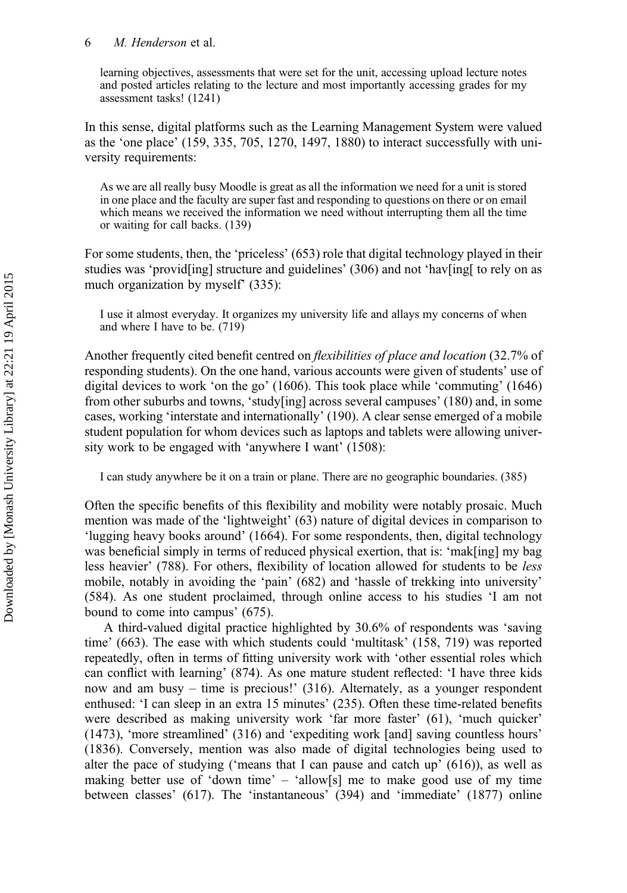### 6 M. Henderson et al.

learning objectives, assessments that were set for the unit, accessing upload lecture notes and posted articles relating to the lecture and most importantly accessing grades for my assessment tasks! (1241)

In this sense, digital platforms such as the Learning Management System were valued as the 'one place' (159, 335, 705, 1270, 1497, 1880) to interact successfully with university requirements:

As we are all really busy Moodle is great as all the information we need for a unit is stored in one place and the faculty are super fast and responding to questions on there or on email which means we received the information we need without interrupting them all the time or waiting for call backs. (139)

For some students, then, the 'priceless' (653) role that digital technology played in their studies was 'provid[ing] structure and guidelines' (306) and not 'hav[ing[ to rely on as much organization by myself' (335):

I use it almost everyday. It organizes my university life and allays my concerns of when and where I have to be. (719)

Another frequently cited benefit centred on flexibilities of place and location (32.7% of responding students). On the one hand, various accounts were given of students' use of digital devices to work 'on the go' (1606). This took place while 'commuting' (1646) from other suburbs and towns, 'study[ing] across several campuses' (180) and, in some cases, working 'interstate and internationally' (190). A clear sense emerged of a mobile student population for whom devices such as laptops and tablets were allowing university work to be engaged with 'anywhere I want' (1508):

I can study anywhere be it on a train or plane. There are no geographic boundaries. (385)

Often the specific benefits of this flexibility and mobility were notably prosaic. Much mention was made of the 'lightweight' (63) nature of digital devices in comparison to 'lugging heavy books around' (1664). For some respondents, then, digital technology was beneficial simply in terms of reduced physical exertion, that is: 'mak[ing] my bag less heavier' (788). For others, flexibility of location allowed for students to be less mobile, notably in avoiding the 'pain' (682) and 'hassle of trekking into university' (584). As one student proclaimed, through online access to his studies 'I am not bound to come into campus' (675).

A third-valued digital practice highlighted by 30.6% of respondents was 'saving time' (663). The ease with which students could 'multitask' (158, 719) was reported repeatedly, often in terms of fitting university work with 'other essential roles which can conflict with learning' (874). As one mature student reflected: 'I have three kids now and am busy – time is precious!' (316). Alternately, as a younger respondent enthused: 'I can sleep in an extra 15 minutes' (235). Often these time-related benefits were described as making university work 'far more faster' (61), 'much quicker' (1473), 'more streamlined' (316) and 'expediting work [and] saving countless hours' (1836). Conversely, mention was also made of digital technologies being used to alter the pace of studying ('means that I can pause and catch up' (616)), as well as making better use of 'down time' – 'allow[s] me to make good use of my time between classes' (617). The 'instantaneous' (394) and 'immediate' (1877) online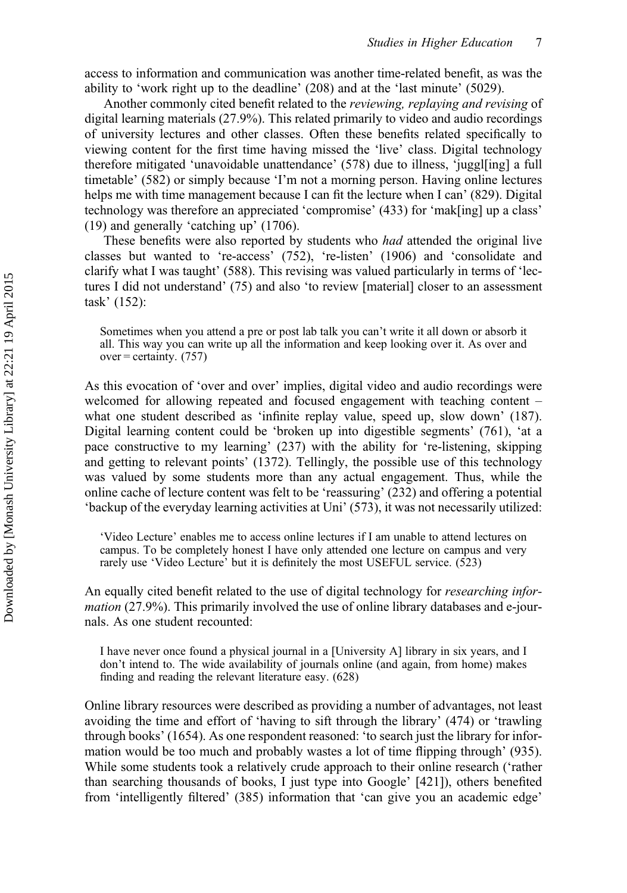access to information and communication was another time-related benefit, as was the ability to 'work right up to the deadline' (208) and at the 'last minute' (5029).

Another commonly cited benefit related to the reviewing, replaying and revising of digital learning materials (27.9%). This related primarily to video and audio recordings of university lectures and other classes. Often these benefits related specifically to viewing content for the first time having missed the 'live' class. Digital technology therefore mitigated 'unavoidable unattendance' (578) due to illness, 'juggl[ing] a full timetable' (582) or simply because 'I'm not a morning person. Having online lectures helps me with time management because I can fit the lecture when I can' (829). Digital technology was therefore an appreciated 'compromise' (433) for 'mak[ing] up a class' (19) and generally 'catching up' (1706).

These benefits were also reported by students who had attended the original live classes but wanted to 're-access' (752), 're-listen' (1906) and 'consolidate and clarify what I was taught' (588). This revising was valued particularly in terms of 'lectures I did not understand' (75) and also 'to review [material] closer to an assessment task' (152):

Sometimes when you attend a pre or post lab talk you can't write it all down or absorb it all. This way you can write up all the information and keep looking over it. As over and  $over =$  certainty. (757)

As this evocation of 'over and over' implies, digital video and audio recordings were welcomed for allowing repeated and focused engagement with teaching content – what one student described as 'infinite replay value, speed up, slow down' (187). Digital learning content could be 'broken up into digestible segments' (761), 'at a pace constructive to my learning' (237) with the ability for 're-listening, skipping and getting to relevant points' (1372). Tellingly, the possible use of this technology was valued by some students more than any actual engagement. Thus, while the online cache of lecture content was felt to be 'reassuring' (232) and offering a potential 'backup of the everyday learning activities at Uni' (573), it was not necessarily utilized:

'Video Lecture' enables me to access online lectures if I am unable to attend lectures on campus. To be completely honest I have only attended one lecture on campus and very rarely use 'Video Lecture' but it is definitely the most USEFUL service. (523)

An equally cited benefit related to the use of digital technology for researching information (27.9%). This primarily involved the use of online library databases and e-journals. As one student recounted:

I have never once found a physical journal in a [University A] library in six years, and I don't intend to. The wide availability of journals online (and again, from home) makes finding and reading the relevant literature easy. (628)

Online library resources were described as providing a number of advantages, not least avoiding the time and effort of 'having to sift through the library' (474) or 'trawling through books' (1654). As one respondent reasoned: 'to search just the library for information would be too much and probably wastes a lot of time flipping through' (935). While some students took a relatively crude approach to their online research ('rather than searching thousands of books, I just type into Google' [421]), others benefited from 'intelligently filtered' (385) information that 'can give you an academic edge'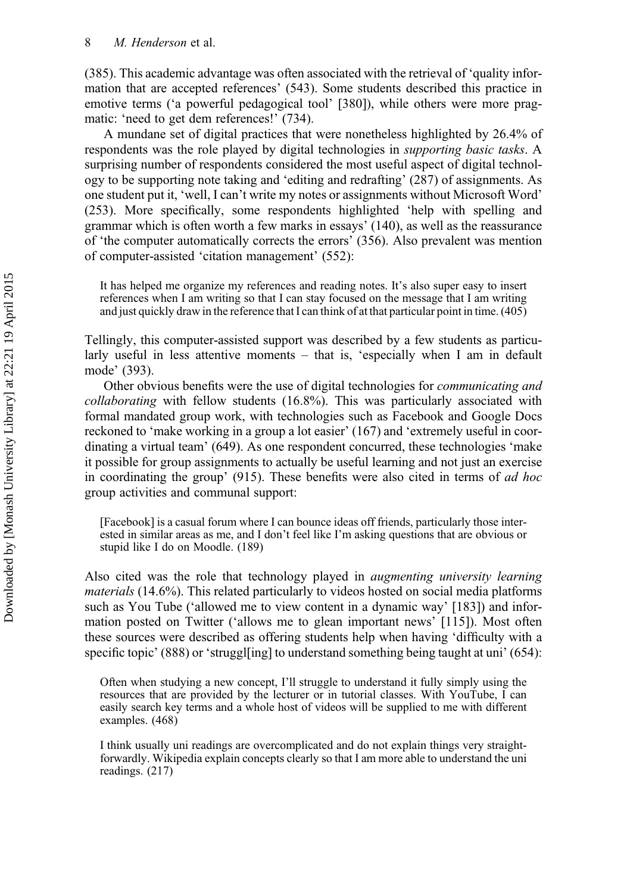(385). This academic advantage was often associated with the retrieval of 'quality information that are accepted references' (543). Some students described this practice in emotive terms ('a powerful pedagogical tool' [380]), while others were more pragmatic: 'need to get dem references!' (734).

A mundane set of digital practices that were nonetheless highlighted by 26.4% of respondents was the role played by digital technologies in supporting basic tasks. A surprising number of respondents considered the most useful aspect of digital technology to be supporting note taking and 'editing and redrafting' (287) of assignments. As one student put it, 'well, I can't write my notes or assignments without Microsoft Word' (253). More specifically, some respondents highlighted 'help with spelling and grammar which is often worth a few marks in essays' (140), as well as the reassurance of 'the computer automatically corrects the errors' (356). Also prevalent was mention of computer-assisted 'citation management' (552):

It has helped me organize my references and reading notes. It's also super easy to insert references when I am writing so that I can stay focused on the message that I am writing and just quickly draw in the reference that I can think of at that particular point in time. (405)

Tellingly, this computer-assisted support was described by a few students as particularly useful in less attentive moments – that is, 'especially when I am in default mode' (393).

Other obvious benefits were the use of digital technologies for communicating and collaborating with fellow students (16.8%). This was particularly associated with formal mandated group work, with technologies such as Facebook and Google Docs reckoned to 'make working in a group a lot easier' (167) and 'extremely useful in coordinating a virtual team' (649). As one respondent concurred, these technologies 'make it possible for group assignments to actually be useful learning and not just an exercise in coordinating the group' (915). These benefits were also cited in terms of ad hoc group activities and communal support:

[Facebook] is a casual forum where I can bounce ideas off friends, particularly those interested in similar areas as me, and I don't feel like I'm asking questions that are obvious or stupid like I do on Moodle. (189)

Also cited was the role that technology played in augmenting university learning materials (14.6%). This related particularly to videos hosted on social media platforms such as You Tube ('allowed me to view content in a dynamic way' [183]) and information posted on Twitter ('allows me to glean important news' [115]). Most often these sources were described as offering students help when having 'difficulty with a specific topic' (888) or 'struggl[ing] to understand something being taught at uni' (654):

Often when studying a new concept, I'll struggle to understand it fully simply using the resources that are provided by the lecturer or in tutorial classes. With YouTube, I can easily search key terms and a whole host of videos will be supplied to me with different examples. (468)

I think usually uni readings are overcomplicated and do not explain things very straightforwardly. Wikipedia explain concepts clearly so that I am more able to understand the uni readings. (217)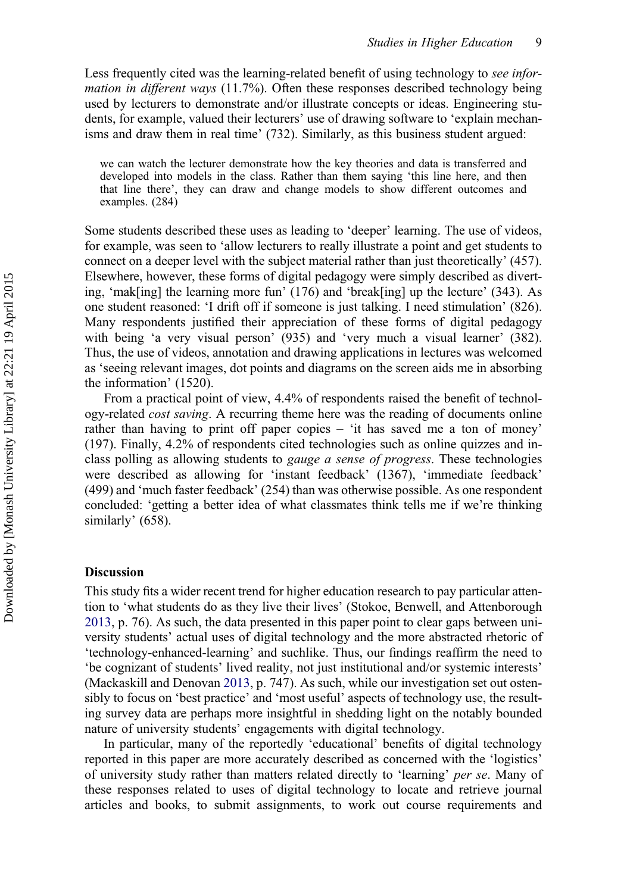Less frequently cited was the learning-related benefit of using technology to see information in different ways (11.7%). Often these responses described technology being used by lecturers to demonstrate and/or illustrate concepts or ideas. Engineering students, for example, valued their lecturers' use of drawing software to 'explain mechanisms and draw them in real time' (732). Similarly, as this business student argued:

we can watch the lecturer demonstrate how the key theories and data is transferred and developed into models in the class. Rather than them saying 'this line here, and then that line there', they can draw and change models to show different outcomes and examples. (284)

Some students described these uses as leading to 'deeper' learning. The use of videos, for example, was seen to 'allow lecturers to really illustrate a point and get students to connect on a deeper level with the subject material rather than just theoretically' (457). Elsewhere, however, these forms of digital pedagogy were simply described as diverting, 'mak[ing] the learning more fun' (176) and 'break[ing] up the lecture' (343). As one student reasoned: 'I drift off if someone is just talking. I need stimulation' (826). Many respondents justified their appreciation of these forms of digital pedagogy with being 'a very visual person' (935) and 'very much a visual learner' (382). Thus, the use of videos, annotation and drawing applications in lectures was welcomed as 'seeing relevant images, dot points and diagrams on the screen aids me in absorbing the information' (1520).

From a practical point of view, 4.4% of respondents raised the benefit of technology-related cost saving. A recurring theme here was the reading of documents online rather than having to print off paper copies – 'it has saved me a ton of money' (197). Finally, 4.2% of respondents cited technologies such as online quizzes and inclass polling as allowing students to gauge a sense of progress. These technologies were described as allowing for 'instant feedback' (1367), 'immediate feedback' (499) and 'much faster feedback' (254) than was otherwise possible. As one respondent concluded: 'getting a better idea of what classmates think tells me if we're thinking similarly' (658).

#### Discussion

This study fits a wider recent trend for higher education research to pay particular attention to 'what students do as they live their lives' (Stokoe, Benwell, and Attenborough [2013,](#page-12-0) p. 76). As such, the data presented in this paper point to clear gaps between university students' actual uses of digital technology and the more abstracted rhetoric of 'technology-enhanced-learning' and suchlike. Thus, our findings reaffirm the need to 'be cognizant of students' lived reality, not just institutional and/or systemic interests' (Mackaskill and Denovan [2013,](#page-12-0) p. 747). As such, while our investigation set out ostensibly to focus on 'best practice' and 'most useful' aspects of technology use, the resulting survey data are perhaps more insightful in shedding light on the notably bounded nature of university students' engagements with digital technology.

In particular, many of the reportedly 'educational' benefits of digital technology reported in this paper are more accurately described as concerned with the 'logistics' of university study rather than matters related directly to 'learning' per se. Many of these responses related to uses of digital technology to locate and retrieve journal articles and books, to submit assignments, to work out course requirements and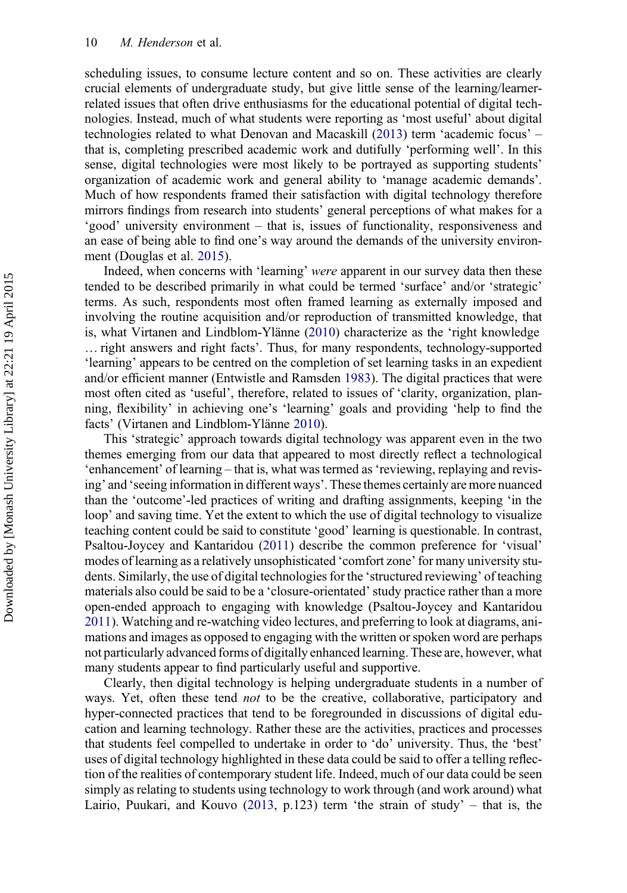scheduling issues, to consume lecture content and so on. These activities are clearly crucial elements of undergraduate study, but give little sense of the learning/learnerrelated issues that often drive enthusiasms for the educational potential of digital technologies. Instead, much of what students were reporting as 'most useful' about digital technologies related to what Denovan and Macaskill [\(2013](#page-11-0)) term 'academic focus' – that is, completing prescribed academic work and dutifully 'performing well'. In this sense, digital technologies were most likely to be portrayed as supporting students' organization of academic work and general ability to 'manage academic demands'. Much of how respondents framed their satisfaction with digital technology therefore mirrors findings from research into students' general perceptions of what makes for a 'good' university environment – that is, issues of functionality, responsiveness and an ease of being able to find one's way around the demands of the university environment (Douglas et al. [2015](#page-11-0)).

Indeed, when concerns with 'learning' were apparent in our survey data then these tended to be described primarily in what could be termed 'surface' and/or 'strategic' terms. As such, respondents most often framed learning as externally imposed and involving the routine acquisition and/or reproduction of transmitted knowledge, that is, what Virtanen and Lindblom-Ylänne ([2010\)](#page-12-0) characterize as the 'right knowledge … right answers and right facts'. Thus, for many respondents, technology-supported 'learning' appears to be centred on the completion of set learning tasks in an expedient and/or efficient manner (Entwistle and Ramsden [1983\)](#page-11-0). The digital practices that were most often cited as 'useful', therefore, related to issues of 'clarity, organization, planning, flexibility' in achieving one's 'learning' goals and providing 'help to find the facts' (Virtanen and Lindblom-Ylänne [2010](#page-12-0)).

This 'strategic' approach towards digital technology was apparent even in the two themes emerging from our data that appeared to most directly reflect a technological 'enhancement' of learning – that is, what was termed as 'reviewing, replaying and revising' and 'seeing information in different ways'. These themes certainly are more nuanced than the 'outcome'-led practices of writing and drafting assignments, keeping 'in the loop' and saving time. Yet the extent to which the use of digital technology to visualize teaching content could be said to constitute 'good' learning is questionable. In contrast, Psaltou-Joycey and Kantaridou [\(2011\)](#page-12-0) describe the common preference for 'visual' modes of learning as a relatively unsophisticated 'comfort zone' for many university students. Similarly, the use of digital technologies for the 'structured reviewing' of teaching materials also could be said to be a 'closure-orientated' study practice rather than a more open-ended approach to engaging with knowledge (Psaltou-Joycey and Kantaridou [2011\)](#page-12-0). Watching and re-watching video lectures, and preferring to look at diagrams, animations and images as opposed to engaging with the written or spoken word are perhaps not particularly advanced forms of digitally enhanced learning. These are, however, what many students appear to find particularly useful and supportive.

Clearly, then digital technology is helping undergraduate students in a number of ways. Yet, often these tend *not* to be the creative, collaborative, participatory and hyper-connected practices that tend to be foregrounded in discussions of digital education and learning technology. Rather these are the activities, practices and processes that students feel compelled to undertake in order to 'do' university. Thus, the 'best' uses of digital technology highlighted in these data could be said to offer a telling reflection of the realities of contemporary student life. Indeed, much of our data could be seen simply as relating to students using technology to work through (and work around) what Lairio, Puukari, and Kouvo ([2013,](#page-12-0) p.123) term 'the strain of study' – that is, the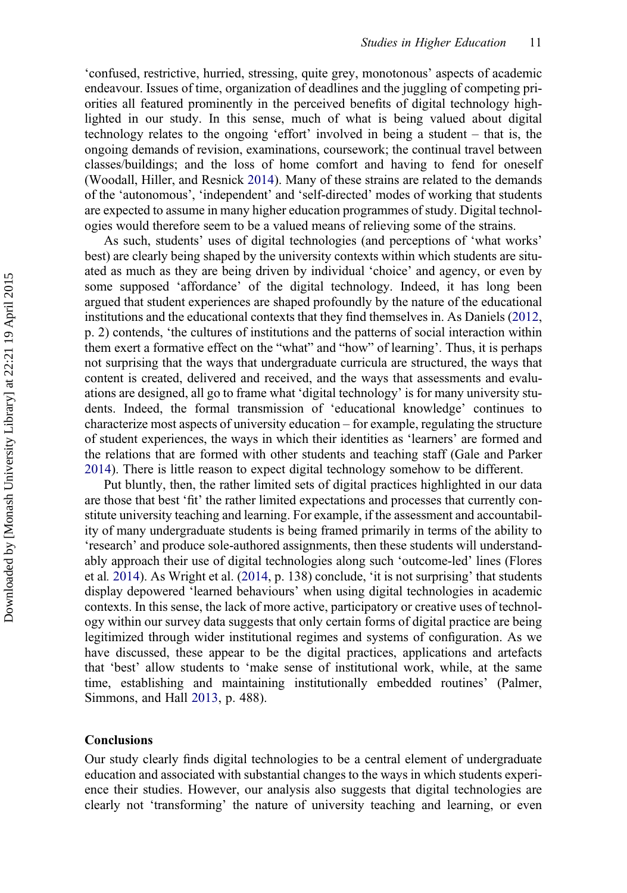'confused, restrictive, hurried, stressing, quite grey, monotonous' aspects of academic endeavour. Issues of time, organization of deadlines and the juggling of competing priorities all featured prominently in the perceived benefits of digital technology highlighted in our study. In this sense, much of what is being valued about digital technology relates to the ongoing 'effort' involved in being a student – that is, the ongoing demands of revision, examinations, coursework; the continual travel between classes/buildings; and the loss of home comfort and having to fend for oneself (Woodall, Hiller, and Resnick [2014\)](#page-12-0). Many of these strains are related to the demands of the 'autonomous', 'independent' and 'self-directed' modes of working that students are expected to assume in many higher education programmes of study. Digital technologies would therefore seem to be a valued means of relieving some of the strains.

As such, students' uses of digital technologies (and perceptions of 'what works' best) are clearly being shaped by the university contexts within which students are situated as much as they are being driven by individual 'choice' and agency, or even by some supposed 'affordance' of the digital technology. Indeed, it has long been argued that student experiences are shaped profoundly by the nature of the educational institutions and the educational contexts that they find themselves in. As Daniels [\(2012](#page-11-0), p. 2) contends, 'the cultures of institutions and the patterns of social interaction within them exert a formative effect on the "what" and "how" of learning'. Thus, it is perhaps not surprising that the ways that undergraduate curricula are structured, the ways that content is created, delivered and received, and the ways that assessments and evaluations are designed, all go to frame what 'digital technology' is for many university students. Indeed, the formal transmission of 'educational knowledge' continues to characterize most aspects of university education – for example, regulating the structure of student experiences, the ways in which their identities as 'learners' are formed and the relations that are formed with other students and teaching staff (Gale and Parker [2014\)](#page-11-0). There is little reason to expect digital technology somehow to be different.

Put bluntly, then, the rather limited sets of digital practices highlighted in our data are those that best 'fit' the rather limited expectations and processes that currently constitute university teaching and learning. For example, if the assessment and accountability of many undergraduate students is being framed primarily in terms of the ability to 'research' and produce sole-authored assignments, then these students will understandably approach their use of digital technologies along such 'outcome-led' lines (Flores et al. [2014\)](#page-11-0). As Wright et al. [\(2014](#page-12-0), p. 138) conclude, 'it is not surprising' that students display depowered 'learned behaviours' when using digital technologies in academic contexts. In this sense, the lack of more active, participatory or creative uses of technology within our survey data suggests that only certain forms of digital practice are being legitimized through wider institutional regimes and systems of configuration. As we have discussed, these appear to be the digital practices, applications and artefacts that 'best' allow students to 'make sense of institutional work, while, at the same time, establishing and maintaining institutionally embedded routines' (Palmer, Simmons, and Hall [2013,](#page-12-0) p. 488).

#### Conclusions

Our study clearly finds digital technologies to be a central element of undergraduate education and associated with substantial changes to the ways in which students experience their studies. However, our analysis also suggests that digital technologies are clearly not 'transforming' the nature of university teaching and learning, or even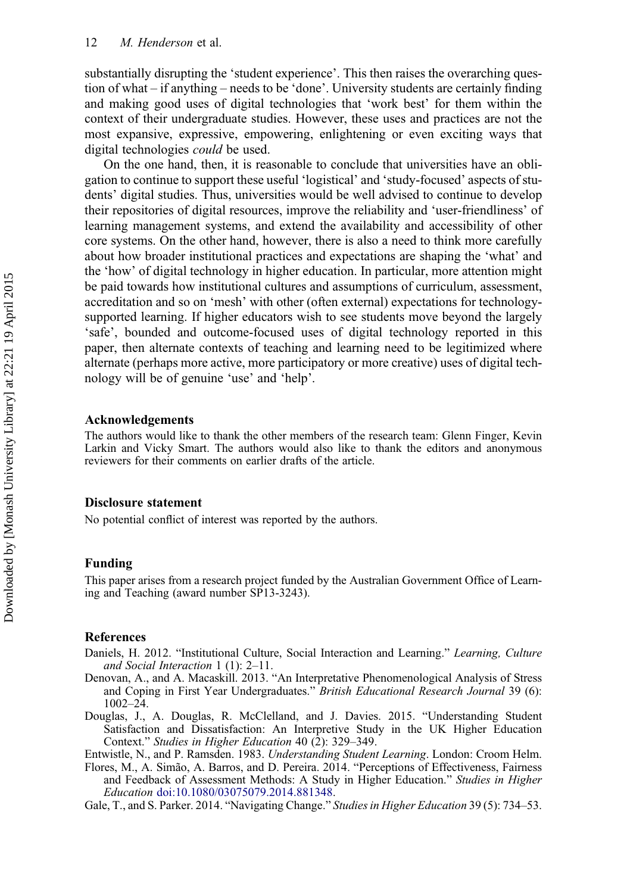<span id="page-11-0"></span>substantially disrupting the 'student experience'. This then raises the overarching question of what – if anything – needs to be 'done'. University students are certainly finding and making good uses of digital technologies that 'work best' for them within the context of their undergraduate studies. However, these uses and practices are not the most expansive, expressive, empowering, enlightening or even exciting ways that digital technologies *could* be used.

On the one hand, then, it is reasonable to conclude that universities have an obligation to continue to support these useful 'logistical' and 'study-focused' aspects of students' digital studies. Thus, universities would be well advised to continue to develop their repositories of digital resources, improve the reliability and 'user-friendliness' of learning management systems, and extend the availability and accessibility of other core systems. On the other hand, however, there is also a need to think more carefully about how broader institutional practices and expectations are shaping the 'what' and the 'how' of digital technology in higher education. In particular, more attention might be paid towards how institutional cultures and assumptions of curriculum, assessment, accreditation and so on 'mesh' with other (often external) expectations for technologysupported learning. If higher educators wish to see students move beyond the largely 'safe', bounded and outcome-focused uses of digital technology reported in this paper, then alternate contexts of teaching and learning need to be legitimized where alternate (perhaps more active, more participatory or more creative) uses of digital technology will be of genuine 'use' and 'help'.

### Acknowledgements

The authors would like to thank the other members of the research team: Glenn Finger, Kevin Larkin and Vicky Smart. The authors would also like to thank the editors and anonymous reviewers for their comments on earlier drafts of the article.

## Disclosure statement

No potential conflict of interest was reported by the authors.

#### Funding

This paper arises from a research project funded by the Australian Government Office of Learning and Teaching (award number SP13-3243).

### References

- Daniels, H. 2012. "Institutional Culture, Social Interaction and Learning." Learning, Culture and Social Interaction 1 (1): 2–11.
- Denovan, A., and A. Macaskill. 2013. "An Interpretative Phenomenological Analysis of Stress and Coping in First Year Undergraduates." British Educational Research Journal 39 (6): 1002–24.
- Douglas, J., A. Douglas, R. McClelland, and J. Davies. 2015. "Understanding Student Satisfaction and Dissatisfaction: An Interpretive Study in the UK Higher Education Context." Studies in Higher Education 40 (2): 329–349.

Entwistle, N., and P. Ramsden. 1983. Understanding Student Learning. London: Croom Helm.

- Flores, M., A. Simão, A. Barros, and D. Pereira. 2014. "Perceptions of Effectiveness, Fairness and Feedback of Assessment Methods: A Study in Higher Education." Studies in Higher Education [doi:10.1080/03075079.2014.881348.](http://dx.doi.org/10.1080/03075079.2014.881348)
- Gale, T., and S. Parker. 2014. "Navigating Change." Studies in Higher Education 39 (5): 734–53.